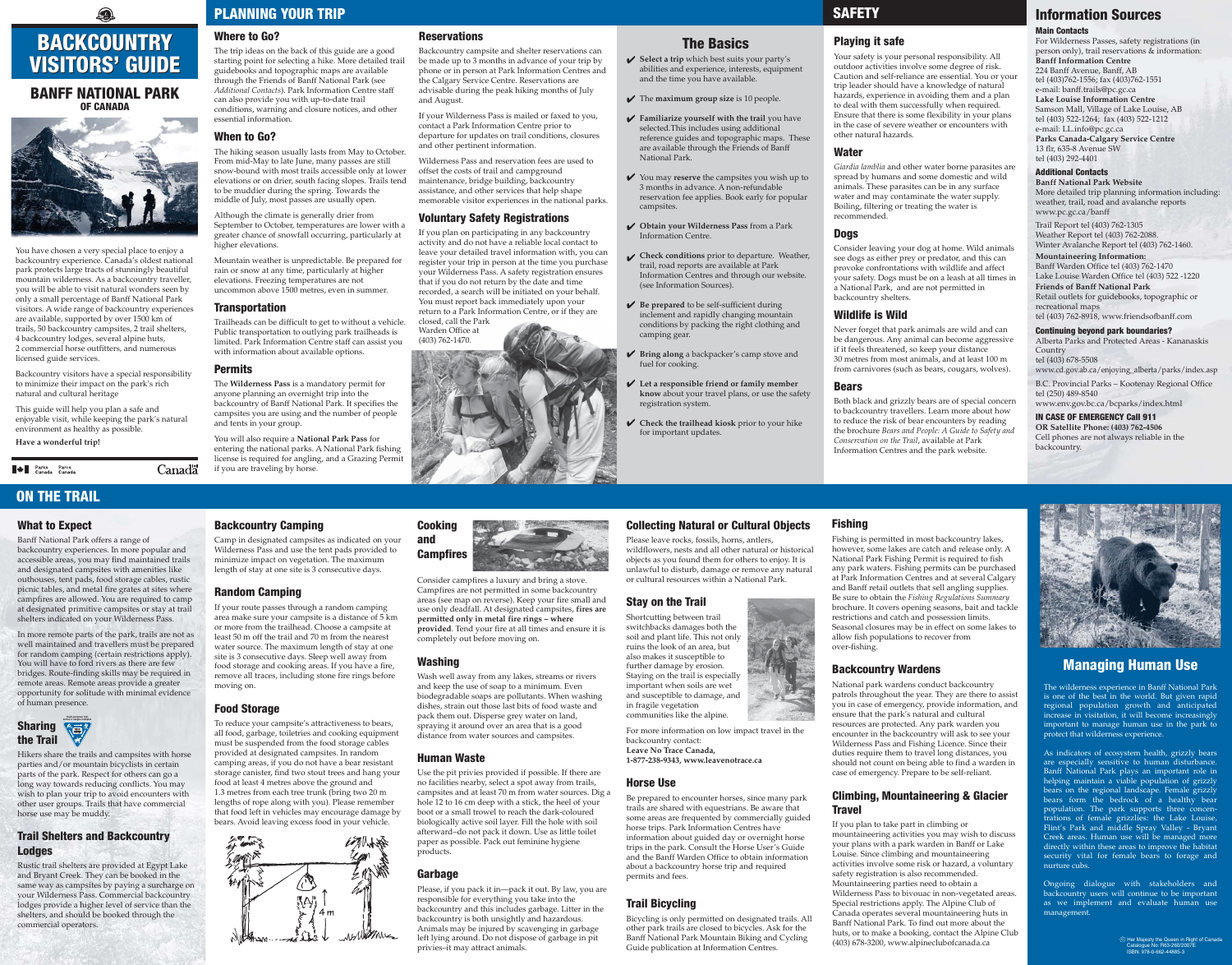You have chosen a very special place to enjoy a backcountry experience. Canada's oldest national park protects large tracts of stunningly beautiful mountain wilderness. As a backcountry traveller, you will be able to visit natural wonders seen by only a small percentage of Banff National Park visitors. A wide range of backcountry experiences are available, supported by over 1500 km of trails, 50 backcountry campsites, 2 trail shelters, 4 backcountry lodges, several alpine huts, 2 commercial horse outfitters, and numerous licensed guide services.

Backcountry visitors have a special responsibility to minimize their impact on the park's rich natural and cultural heritage

This guide will help you plan a safe and enjoyable visit, while keeping the park's natural environment as healthy as possible.

**Have a wonderful trip!**

**A** Parks Parcs<br>Canada Canada

# Where to Go?

The trip ideas on the back of this guide are a good starting point for selecting a hike. More detailed trail guidebooks and topographic maps are available through the Friends of Banff National Park (see *Additional Contacts*). Park Information Centre staff can also provide you with up-to-date trail conditions, warning and closure notices, and other essential information.

## When to Go?

Select a trip which best suits your party's abilities and experience, interests, equipment and the time you have available.

The hiking season usually lasts from May to October. From mid-May to late June, many passes are still snow-bound with most trails accessible only at lower elevations or on drier, south facing slopes. Trails tend to be muddier during the spring. Towards the middle of July, most passes are usually open.

You may **reserve** the campsites you wish up to 3 months in advance. A non-refundable reservation fee applies. Book early for popular campsites.

Although the climate is generally drier from September to October, temperatures are lower with a greater chance of snowfall occurring, particularly at higher elevations.

> Be prepared to be self-sufficient during inclement and rapidly changing mountain conditions by packing the right clothing and camping gear.

Mountain weather is unpredictable. Be prepared for rain or snow at any time, particularly at higher elevations. Freezing temperatures are not uncommon above 1500 metres, even in summer.

## **Transportation**

Trailheads can be difficult to get to without a vehicle. Public transportation to outlying park trailheads is limited. Park Information Centre staff can assist you with information about available options.

## Permits

**Canada** 

The **Wilderness Pass** is a mandatory permit for anyone planning an overnight trip into the backcountry of Banff National Park. It specifies the campsites you are using and the number of people and tents in your group.

You will also require a **National Park Pass** for entering the national parks. A National Park fishing license is required for angling, and a Grazing Permit if you are traveling by horse.

# The Basics

The **maximum group size** is 10 people.

**Familiarize yourself with the trail** you have selected.This includes using additional reference guides and topographic maps. These are available through the Friends of Banff National Park.

**Obtain your Wilderness Pass** from a Park Information Centre.

**Check conditions** prior to departure. Weather, trail, road reports are available at Park Information Centres and through our website. (see Information Sources).

**Bring along** a backpacker's camp stove and fuel for cooking.

**Let a responsible friend or family member know** about your travel plans, or use the safety registration system.

**Check the trailhead kiosk** prior to your hike for important updates.

# **SAFETY**

# Playing it safe

Your safety is your personal responsibility. All outdoor activities involve some degree of risk. Caution and self-reliance are essential. You or your trip leader should have a knowledge of natural hazards, experience in avoiding them and a plan to deal with them successfully when required. Ensure that there is some flexibility in your plans in the case of severe weather or encounters with other natural hazards.

### Water

*Giardia lamblia* and other water borne parasites are spread by humans and some domestic and wild animals. These parasites can be in any surface water and may contaminate the water supply. Boiling, filtering or treating the water is recommended.

### Dogs

Consider leaving your dog at home. Wild animals see dogs as either prey or predator, and this can provoke confrontations with wildlife and affect your safety. Dogs must be on a leash at all times in a National Park, and are not permitted in backcountry shelters.

## Wildlife is Wild

Never forget that park animals are wild and can be dangerous. Any animal can become aggressive if it feels threatened, so keep your distance 30 metres from most animals, and at least 100 m from carnivores (such as bears, cougars, wolves).

### Bears

Both black and grizzly bears are of special concern to backcountry travellers. Learn more about how to reduce the risk of bear encounters by reading the brochure *Bears and People: A Guide to Safety and Conservation on the Trail*, available at Park Information Centres and the park website.

# Information Sources

#### Main Contacts

For Wilderness Passes, safety registrations (in person only), trail reservations & information: **Banff Information Centre**  224 Banff Avenue, Banff, AB tel (403)762-1556; fax (403)762-1551 e-mail: banff.trails@pc.gc.ca **Lake Louise Information Centre**  Samson Mall, Village of Lake Louise, AB tel (403) 522-1264; fax (403) 522-1212 e-mail: LL.info@pc.gc.ca **Parks Canada-Calgary Service Centre** 13 flr, 635-8 Avenue SW tel (403) 292-4401

#### Additional Contacts

**Banff National Park Website** More detailed trip planning information including: weather, trail, road and avalanche reports www.pc.gc.ca/banff

Ongoing dialogue with stakeholders and backcountry users will continue to be important as we implement and evaluate human use management.

Trail Report tel (403) 762-1305 Weather Report tel (403) 762-2088. Winter Avalanche Report tel (403) 762-1460. **Mountaineering Information:**  Banff Warden Office tel (403) 762-1470 Lake Louise Warden Office tel (403) 522 -1220 **Friends of Banff National Park** Retail outlets for guidebooks, topographic or recreational maps tel (403) 762-8918, www.friendsofbanff.com

#### Continuing beyond park boundaries?

Alberta Parks and Protected Areas - Kananaskis **Country** tel (403) 678-5508 www.cd.gov.ab.ca/enjoying\_alberta/parks/index.asp

B.C. Provincial Parks – Kootenay Regional Office tel (250) 489-8540

# Climbing, Mountaineering & Glacier **Travel**

# www.env.gov.bc.ca/bcparks/index.html

## IN CASE OF EMERGENCY Call 911

**OR Satellite Phone: (403) 762-4506**  Cell phones are not always reliable in the backcountry.

# What to Expect

Banff National Park offers a range of backcountry experiences. In more popular and accessible areas, you may find maintained trails and designated campsites with amenities like outhouses, tent pads, food storage cables, rustic picnic tables, and metal fire grates at sites where campfires are allowed. You are required to camp at designated primitive campsites or stay at trail shelters indicated on your Wilderness Pass.

In more remote parts of the park, trails are not as well maintained and travellers must be prepared for random camping (certain restrictions apply). You will have to ford rivers as there are few bridges. Route-finding skills may be required in remote areas. Remote areas provide a greater opportunity for solitude with minimal evidence of human presence.

# 0 BACKCOUNTRY BACKCOUNTRY VISITORS' GUIDE VISITORS' GUIDE

# BANFF NATIONAL PARK BANFF NATIONAL PARK OF CANADA OF CANADA



Hikers share the trails and campsites with horse parties and/or mountain bicyclists in certain parts of the park. Respect for others can go a long way towards reducing conflicts. You may wish to plan your trip to avoid encounters with other user groups. Trails that have commercial horse use may be muddy.

# Trail Shelters and Backcountry Lodges

Rustic trail shelters are provided at Egypt Lake and Bryant Creek. They can be booked in the same way as campsites by paying a surcharge on your Wilderness Pass. Commercial backcountry lodges provide a higher level of service than the shelters, and should be booked through the commercial operators.

Backcountry Camping

Camp in designated campsites as indicated on your Wilderness Pass and use the tent pads provided to minimize impact on vegetation. The maximum length of stay at one site is 3 consecutive days.

Random Camping

If your route passes through a random camping area make sure your campsite is a distance of 5 km or more from the trailhead. Choose a campsite at least 50 m off the trail and 70 m from the nearest water source. The maximum length of stay at one site is 3 consecutive days. Sleep well away from food storage and cooking areas. If you have a fire, remove all traces, including stone fire rings before

moving on.

Food Storage

To reduce your campsite's attractiveness to bears, all food, garbage, toiletries and cooking equipment must be suspended from the food storage cables provided at designated campsites. In random camping areas, if you do not have a bear resistant storage canister, find two stout trees and hang your

food at least 4 metres above the ground and 1.3 metres from each tree trunk (bring two 20 m lengths of rope along with you). Please remember that food left in vehicles may encourage damage by bears. Avoid leaving excess food in your vehicle.

## Cooking and Campfires



Consider campfires a luxury and bring a stove. Campfires are not permitted in some backcountry areas (see map on reverse). Keep your fire small and use only deadfall. At designated campsites, **fires are permitted only in metal fire rings – where provided**. Tend your fire at all times and ensure it is completely out before moving on.

## Washing

Wash well away from any lakes, streams or rivers and keep the use of soap to a minimum. Even biodegradable soaps are pollutants. When washing dishes, strain out those last bits of food waste and pack them out. Disperse grey water on land, spraying it around over an area that is a good distance from water sources and campsites.

# Human Waste

Use the pit privies provided if possible. If there are no facilities nearby, select a spot away from trails, campsites and at least 70 m from water sources. Dig a hole 12 to 16 cm deep with a stick, the heel of your boot or a small trowel to reach the dark-coloured biologically active soil layer. Fill the hole with soil afterward–do not pack it down. Use as little toilet paper as possible. Pack out feminine hygiene products.

# Garbage

Please, if you pack it in—pack it out. By law, you are responsible for everything you take into the backcountry and this includes garbage. Litter in the backcountry is both unsightly and hazardous. Animals may be injured by scavenging in garbage left lying around. Do not dispose of garbage in pit privies–it may attract animals.

# Managing Human Use

The wilderness experience in Banff National Park is one of the best in the world. But given rapid regional population growth and anticipated increase in visitation, it will become increasingly important to manage human use in the park to protect that wilderness experience.

As indicators of ecosystem health, grizzly bears are especially sensitive to human disturbance. Banff National Park plays an important role in helping maintain a viable population of grizzly bears on the regional landscape. Female grizzly bears form the bedrock of a healthy bear population. The park supports three concentrations of female grizzlies: the Lake Louise, Flint's Park and middle Spray Valley - Bryant Creek areas. Human use will be managed more directly within these areas to improve the habitat security vital for female bears to forage and nurture cubs.

# PLANNING YOUR TRIP

# ON THE TRAIL





Fishing is permitted in most backcountry lakes, however, some lakes are catch and release only. A National Park Fishing Permit is required to fish any park waters. Fishing permits can be purchased at Park Information Centres and at several Calgary and Banff retail outlets that sell angling supplies. Be sure to obtain the *Fishing Regulations Summary* brochure. It covers opening seasons, bait and tackle restrictions and catch and possession limits. Seasonal closures may be in effect on some lakes to allow fish populations to recover from over-fishing.

## Backcountry Wardens

National park wardens conduct backcountry patrols throughout the year. They are there to assist you in case of emergency, provide information, and ensure that the park's natural and cultural resources are protected. Any park warden you encounter in the backcountry will ask to see your Wilderness Pass and Fishing Licence. Since their duties require them to travel long distances, you should not count on being able to find a warden in case of emergency. Prepare to be self-reliant.

If you plan to take part in climbing or mountaineering activities you may wish to discuss your plans with a park warden in Banff or Lake Louise. Since climbing and mountaineering activities involve some risk or hazard, a voluntary safety registration is also recommended. Mountaineering parties need to obtain a Wilderness Pass to bivouac in non-vegetated areas. Special restrictions apply. The Alpine Club of Canada operates several mountaineering huts in Banff National Park. To find out more about the huts, or to make a booking, contact the Alpine Club (403) 678-3200, www.alpineclubofcanada.ca



# Reservations

Backcountry campsite and shelter reservations can be made up to 3 months in advance of your trip by phone or in person at Park Information Centres and the Calgary Service Centre. Reservations are advisable during the peak hiking months of July and August.

If your Wilderness Pass is mailed or faxed to you, contact a Park Information Centre prior to departure for updates on trail conditions, closures and other pertinent information.

Wilderness Pass and reservation fees are used to offset the costs of trail and campground maintenance, bridge building, backcountry assistance, and other services that help shape memorable visitor experiences in the national parks.

# Voluntary Safety Registrations

If you plan on participating in any backcountry activity and do not have a reliable local contact to leave your detailed travel information with, you can register your trip in person at the time you purchase your Wilderness Pass. A safety registration ensures that if you do not return by the date and time recorded, a search will be initiated on your behalf. You must report back immediately upon your return to a Park Information Centre, or if they are closed, call the Park Warden Office at





# Collecting Natural or Cultural Objects

Please leave rocks, fossils, horns, antlers, wildflowers, nests and all other natural or historical objects as you found them for others to enjoy. It is unlawful to disturb, damage or remove any natural or cultural resources within a National Park.

**Report Follows** 

# Stay on the Trail

Shortcutting between trail switchbacks damages both the soil and plant life. This not only ruins the look of an area, but also makes it susceptible to further damage by erosion. Staying on the trail is especially important when soils are wet and susceptible to damage, and in fragile vegetation communities like the alpine.

For more information on low impact travel in the backcountry contact: **Leave No Trace Canada, 1-877-238-9343, www.leavenotrace.ca**

# Horse Use

Be prepared to encounter horses, since many park trails are shared with equestrians. Be aware that some areas are frequented by commercially guided horse trips. Park Information Centres have information about guided day or overnight horse trips in the park. Consult the Horse User's Guide and the Banff Warden Office to obtain information about a backcountry horse trip and required permits and fees.

# Trail Bicycling



Bicycling is only permitted on designated trails. All other park trails are closed to bicycles. Ask for the Banff National Park Mountain Biking and Cycling Guide publication at Information Centres.